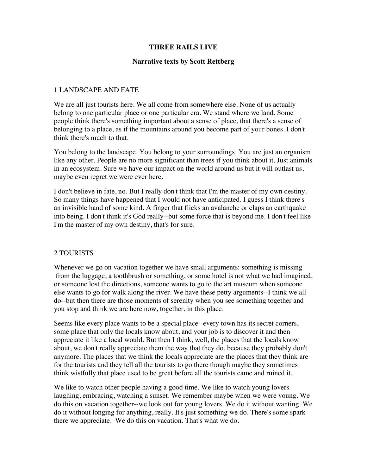## **THREE RAILS LIVE**

## **Narrative texts by Scott Rettberg**

# 1 LANDSCAPE AND FATE

We are all just tourists here. We all come from somewhere else. None of us actually belong to one particular place or one particular era. We stand where we land. Some people think there's something important about a sense of place, that there's a sense of belonging to a place, as if the mountains around you become part of your bones. I don't think there's much to that.

You belong to the landscape. You belong to your surroundings. You are just an organism like any other. People are no more significant than trees if you think about it. Just animals in an ecosystem. Sure we have our impact on the world around us but it will outlast us, maybe even regret we were ever here.

I don't believe in fate, no. But I really don't think that I'm the master of my own destiny. So many things have happened that I would not have anticipated. I guess I think there's an invisible hand of some kind. A finger that flicks an avalanche or claps an earthquake into being. I don't think it's God really--but some force that is beyond me. I don't feel like I'm the master of my own destiny, that's for sure.

## 2 TOURISTS

Whenever we go on vacation together we have small arguments: something is missing from the luggage, a toothbrush or something, or some hotel is not what we had imagined, or someone lost the directions, someone wants to go to the art museum when someone else wants to go for walk along the river. We have these petty arguments--I think we all do--but then there are those moments of serenity when you see something together and you stop and think we are here now, together, in this place.

Seems like every place wants to be a special place--every town has its secret corners, some place that only the locals know about, and your job is to discover it and then appreciate it like a local would. But then I think, well, the places that the locals know about, we don't really appreciate them the way that they do, because they probably don't anymore. The places that we think the locals appreciate are the places that they think are for the tourists and they tell all the tourists to go there though maybe they sometimes think wistfully that place used to be great before all the tourists came and ruined it.

We like to watch other people having a good time. We like to watch young lovers laughing, embracing, watching a sunset. We remember maybe when we were young. We do this on vacation together--we look out for young lovers. We do it without wanting. We do it without longing for anything, really. It's just something we do. There's some spark there we appreciate. We do this on vacation. That's what we do.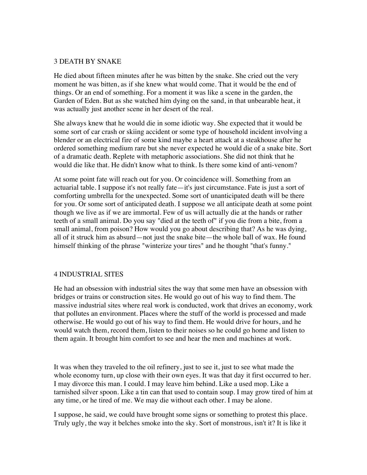#### 3 DEATH BY SNAKE

He died about fifteen minutes after he was bitten by the snake. She cried out the very moment he was bitten, as if she knew what would come. That it would be the end of things. Or an end of something. For a moment it was like a scene in the garden, the Garden of Eden. But as she watched him dying on the sand, in that unbearable heat, it was actually just another scene in her desert of the real.

She always knew that he would die in some idiotic way. She expected that it would be some sort of car crash or skiing accident or some type of household incident involving a blender or an electrical fire of some kind maybe a heart attack at a steakhouse after he ordered something medium rare but she never expected he would die of a snake bite. Sort of a dramatic death. Replete with metaphoric associations. She did not think that he would die like that. He didn't know what to think. Is there some kind of anti-venom?

At some point fate will reach out for you. Or coincidence will. Something from an actuarial table. I suppose it's not really fate—it's just circumstance. Fate is just a sort of comforting umbrella for the unexpected. Some sort of unanticipated death will be there for you. Or some sort of anticipated death. I suppose we all anticipate death at some point though we live as if we are immortal. Few of us will actually die at the hands or rather teeth of a small animal. Do you say "died at the teeth of" if you die from a bite, from a small animal, from poison? How would you go about describing that? As he was dying, all of it struck him as absurd—not just the snake bite—the whole ball of wax. He found himself thinking of the phrase "winterize your tires" and he thought "that's funny."

## 4 INDUSTRIAL SITES

He had an obsession with industrial sites the way that some men have an obsession with bridges or trains or construction sites. He would go out of his way to find them. The massive industrial sites where real work is conducted, work that drives an economy, work that pollutes an environment. Places where the stuff of the world is processed and made otherwise. He would go out of his way to find them. He would drive for hours, and he would watch them, record them, listen to their noises so he could go home and listen to them again. It brought him comfort to see and hear the men and machines at work.

It was when they traveled to the oil refinery, just to see it, just to see what made the whole economy turn, up close with their own eyes. It was that day it first occurred to her. I may divorce this man. I could. I may leave him behind. Like a used mop. Like a tarnished silver spoon. Like a tin can that used to contain soup. I may grow tired of him at any time, or he tired of me. We may die without each other. I may be alone.

I suppose, he said, we could have brought some signs or something to protest this place. Truly ugly, the way it belches smoke into the sky. Sort of monstrous, isn't it? It is like it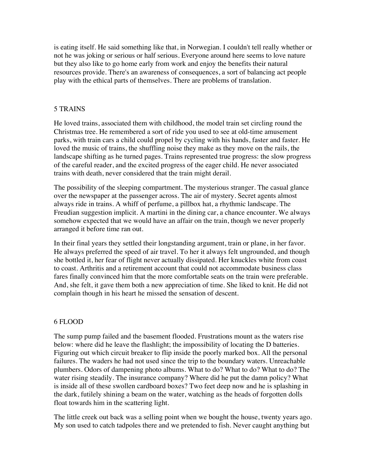is eating itself. He said something like that, in Norwegian. I couldn't tell really whether or not he was joking or serious or half serious. Everyone around here seems to love nature but they also like to go home early from work and enjoy the benefits their natural resources provide. There's an awareness of consequences, a sort of balancing act people play with the ethical parts of themselves. There are problems of translation.

## 5 TRAINS

He loved trains, associated them with childhood, the model train set circling round the Christmas tree. He remembered a sort of ride you used to see at old-time amusement parks, with train cars a child could propel by cycling with his hands, faster and faster. He loved the music of trains, the shuffling noise they make as they move on the rails, the landscape shifting as he turned pages. Trains represented true progress: the slow progress of the careful reader, and the excited progress of the eager child. He never associated trains with death, never considered that the train might derail.

The possibility of the sleeping compartment. The mysterious stranger. The casual glance over the newspaper at the passenger across. The air of mystery. Secret agents almost always ride in trains. A whiff of perfume, a pillbox hat, a rhythmic landscape. The Freudian suggestion implicit. A martini in the dining car, a chance encounter. We always somehow expected that we would have an affair on the train, though we never properly arranged it before time ran out.

In their final years they settled their longstanding argument, train or plane, in her favor. He always preferred the speed of air travel. To her it always felt ungrounded, and though she bottled it, her fear of flight never actually dissipated. Her knuckles white from coast to coast. Arthritis and a retirement account that could not accommodate business class fares finally convinced him that the more comfortable seats on the train were preferable. And, she felt, it gave them both a new appreciation of time. She liked to knit. He did not complain though in his heart he missed the sensation of descent.

## 6 FLOOD

The sump pump failed and the basement flooded. Frustrations mount as the waters rise below: where did he leave the flashlight; the impossibility of locating the D batteries. Figuring out which circuit breaker to flip inside the poorly marked box. All the personal failures. The waders he had not used since the trip to the boundary waters. Unreachable plumbers. Odors of dampening photo albums. What to do? What to do? What to do? The water rising steadily. The insurance company? Where did he put the damn policy? What is inside all of these swollen cardboard boxes? Two feet deep now and he is splashing in the dark, futilely shining a beam on the water, watching as the heads of forgotten dolls float towards him in the scattering light.

The little creek out back was a selling point when we bought the house, twenty years ago. My son used to catch tadpoles there and we pretended to fish. Never caught anything but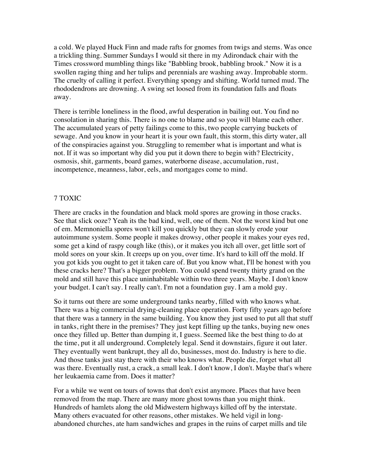a cold. We played Huck Finn and made rafts for gnomes from twigs and stems. Was once a trickling thing. Summer Sundays I would sit there in my Adirondack chair with the Times crossword mumbling things like "Babbling brook, babbling brook." Now it is a swollen raging thing and her tulips and perennials are washing away. Improbable storm. The cruelty of calling it perfect. Everything spongy and shifting. World turned mud. The rhododendrons are drowning. A swing set loosed from its foundation falls and floats away.

There is terrible loneliness in the flood, awful desperation in bailing out. You find no consolation in sharing this. There is no one to blame and so you will blame each other. The accumulated years of petty failings come to this, two people carrying buckets of sewage. And you know in your heart it is your own fault, this storm, this dirty water, all of the conspiracies against you. Struggling to remember what is important and what is not. If it was so important why did you put it down there to begin with? Electricity, osmosis, shit, garments, board games, waterborne disease, accumulation, rust, incompetence, meanness, labor, eels, and mortgages come to mind.

## 7 TOXIC

There are cracks in the foundation and black mold spores are growing in those cracks. See that slick ooze? Yeah its the bad kind, well, one of them. Not the worst kind but one of em. Memnoniella spores won't kill you quickly but they can slowly erode your autoimmune system. Some people it makes drowsy, other people it makes your eyes red, some get a kind of raspy cough like (this), or it makes you itch all over, get little sort of mold sores on your skin. It creeps up on you, over time. It's hard to kill off the mold. If you got kids you ought to get it taken care of. But you know what, I'll be honest with you these cracks here? That's a bigger problem. You could spend twenty thirty grand on the mold and still have this place uninhabitable within two three years. Maybe. I don't know your budget. I can't say. I really can't. I'm not a foundation guy. I am a mold guy.

So it turns out there are some underground tanks nearby, filled with who knows what. There was a big commercial drying-cleaning place operation. Forty fifty years ago before that there was a tannery in the same building. You know they just used to put all that stuff in tanks, right there in the premises? They just kept filling up the tanks, buying new ones once they filled up. Better than dumping it, I guess. Seemed like the best thing to do at the time, put it all underground. Completely legal. Send it downstairs, figure it out later. They eventually went bankrupt, they all do, businesses, most do. Industry is here to die. And those tanks just stay there with their who knows what. People die, forget what all was there. Eventually rust, a crack, a small leak. I don't know, I don't. Maybe that's where her leukaemia came from. Does it matter?

For a while we went on tours of towns that don't exist anymore. Places that have been removed from the map. There are many more ghost towns than you might think. Hundreds of hamlets along the old Midwestern highways killed off by the interstate. Many others evacuated for other reasons, other mistakes. We held vigil in longabandoned churches, ate ham sandwiches and grapes in the ruins of carpet mills and tile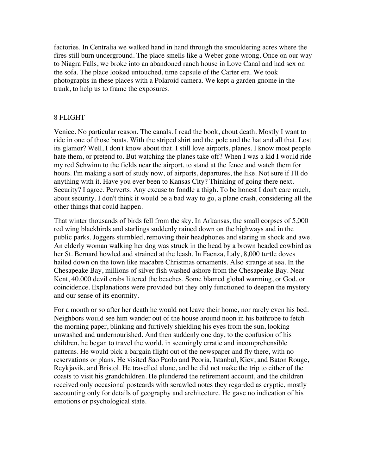factories. In Centralia we walked hand in hand through the smouldering acres where the fires still burn underground. The place smells like a Weber gone wrong. Once on our way to Niagra Falls, we broke into an abandoned ranch house in Love Canal and had sex on the sofa. The place looked untouched, time capsule of the Carter era. We took photographs in these places with a Polaroid camera. We kept a garden gnome in the trunk, to help us to frame the exposures.

#### 8 FLIGHT

Venice. No particular reason. The canals. I read the book, about death. Mostly I want to ride in one of those boats. With the striped shirt and the pole and the hat and all that. Lost its glamor? Well, I don't know about that. I still love airports, planes. I know most people hate them, or pretend to. But watching the planes take off? When I was a kid I would ride my red Schwinn to the fields near the airport, to stand at the fence and watch them for hours. I'm making a sort of study now, of airports, departures, the like. Not sure if I'll do anything with it. Have you ever been to Kansas City? Thinking of going there next. Security? I agree. Perverts. Any excuse to fondle a thigh. To be honest I don't care much, about security. I don't think it would be a bad way to go, a plane crash, considering all the other things that could happen.

That winter thousands of birds fell from the sky. In Arkansas, the small corpses of 5,000 red wing blackbirds and starlings suddenly rained down on the highways and in the public parks. Joggers stumbled, removing their headphones and staring in shock and awe. An elderly woman walking her dog was struck in the head by a brown headed cowbird as her St. Bernard howled and strained at the leash. In Faenza, Italy, 8,000 turtle doves hailed down on the town like macabre Christmas ornaments. Also strange at sea. In the Chesapeake Bay, millions of silver fish washed ashore from the Chesapeake Bay. Near Kent, 40,000 devil crabs littered the beaches. Some blamed global warming, or God, or coincidence. Explanations were provided but they only functioned to deepen the mystery and our sense of its enormity.

For a month or so after her death he would not leave their home, nor rarely even his bed. Neighbors would see him wander out of the house around noon in his bathrobe to fetch the morning paper, blinking and furtively shielding his eyes from the sun, looking unwashed and undernourished. And then suddenly one day, to the confusion of his children, he began to travel the world, in seemingly erratic and incomprehensible patterns. He would pick a bargain flight out of the newspaper and fly there, with no reservations or plans. He visited Sao Paolo and Peoria, Istanbul, Kiev, and Baton Rouge, Reykjavik, and Bristol. He travelled alone, and he did not make the trip to either of the coasts to visit his grandchildren. He plundered the retirement account, and the children received only occasional postcards with scrawled notes they regarded as cryptic, mostly accounting only for details of geography and architecture. He gave no indication of his emotions or psychological state.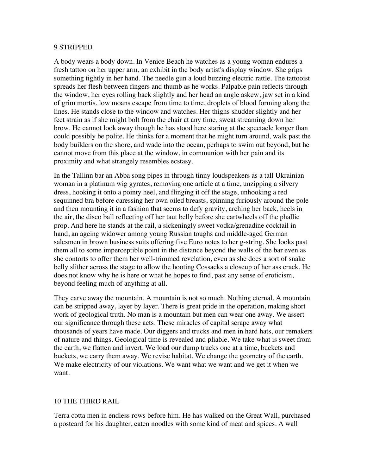#### 9 STRIPPED

A body wears a body down. In Venice Beach he watches as a young woman endures a fresh tattoo on her upper arm, an exhibit in the body artist's display window. She grips something tightly in her hand. The needle gun a loud buzzing electric rattle. The tattooist spreads her flesh between fingers and thumb as he works. Palpable pain reflects through the window, her eyes rolling back slightly and her head an angle askew, jaw set in a kind of grim mortis, low moans escape from time to time, droplets of blood forming along the lines. He stands close to the window and watches. Her thighs shudder slightly and her feet strain as if she might bolt from the chair at any time, sweat streaming down her brow. He cannot look away though he has stood here staring at the spectacle longer than could possibly be polite. He thinks for a moment that he might turn around, walk past the body builders on the shore, and wade into the ocean, perhaps to swim out beyond, but he cannot move from this place at the window, in communion with her pain and its proximity and what strangely resembles ecstasy.

In the Tallinn bar an Abba song pipes in through tinny loudspeakers as a tall Ukrainian woman in a platinum wig gyrates, removing one article at a time, unzipping a silvery dress, hooking it onto a pointy heel, and flinging it off the stage, unhooking a red sequinned bra before caressing her own oiled breasts, spinning furiously around the pole and then mounting it in a fashion that seems to defy gravity, arching her back, heels in the air, the disco ball reflecting off her taut belly before she cartwheels off the phallic prop. And here he stands at the rail, a sickeningly sweet vodka/grenadine cocktail in hand, an ageing widower among young Russian toughs and middle-aged German salesmen in brown business suits offering five Euro notes to her g-string. She looks past them all to some imperceptible point in the distance beyond the walls of the bar even as she contorts to offer them her well-trimmed revelation, even as she does a sort of snake belly slither across the stage to allow the hooting Cossacks a closeup of her ass crack. He does not know why he is here or what he hopes to find, past any sense of eroticism, beyond feeling much of anything at all.

They carve away the mountain. A mountain is not so much. Nothing eternal. A mountain can be stripped away, layer by layer. There is great pride in the operation, making short work of geological truth. No man is a mountain but men can wear one away. We assert our significance through these acts. These miracles of capital scrape away what thousands of years have made. Our diggers and trucks and men in hard hats, our remakers of nature and things. Geological time is revealed and pliable. We take what is sweet from the earth, we flatten and invert. We load our dump trucks one at a time, buckets and buckets, we carry them away. We revise habitat. We change the geometry of the earth. We make electricity of our violations. We want what we want and we get it when we want.

## 10 THE THIRD RAIL

Terra cotta men in endless rows before him. He has walked on the Great Wall, purchased a postcard for his daughter, eaten noodles with some kind of meat and spices. A wall